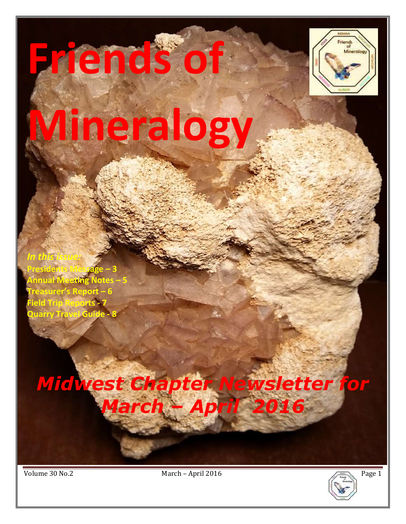# **Friends of**



# **Mineralogy**

**Presidents Message – 3 Annual Meeting Notes – 5 Treasurer's Report – 6 Field Trip Reports - 7 Quarry Travel Guide** 

*In this issue:* 

# *Midwest Chapter Newsletter for March – April 2016*

š

Volume 30 No.2 March – April 2016

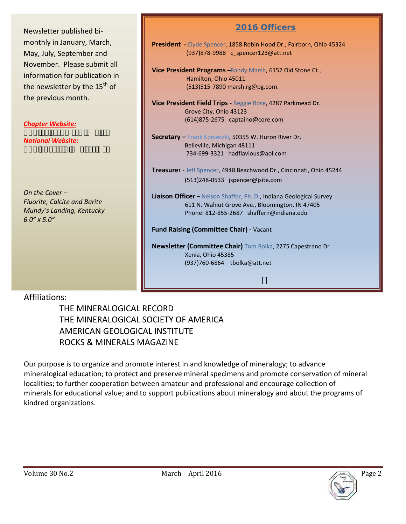Newsletter published bimonthly in January, March, May, July, September and November. Please submit all information for publication in the newsletter by the  $15<sup>th</sup>$  of the previous month.

*Chapter Website:*

*National Website:*

*On the Cover – Fluorite, Calcite and Barite Mundy's Landing, Kentucky 6.0" x 5.0"* 

#### **2016 Officers**

**President -** Clyde Spencer, 1858 Robin Hood Dr., Fairborn, Ohio 45324 (937)878-9988 c\_spencer123@att.net

**Vice President Programs –**Randy Marsh, 6152 Old Stone Ct., Hamilton, Ohio 45011 (513)515-7890 marsh.rg@pg.com.

**Vice President Field Trips -** Reggie Rose, 4287 Parkmead Dr. Grove City, Ohio 43123 (614)875-2675 captaino@core.com

**Secretary –** Frank Konieczki, 50355 W. Huron River Dr. Belleville, Michigan 48111 734-699-3321 hadflavious@aol.com

**Treasure**r - Jeff Spencer, 4948 Beachwood Dr., Cincinnati, Ohio 45244 (513)248-0533 jspencer@jsite.com

**Liaison Officer** – Nelson Shaffer, Ph. D., Indiana Geological Survey 611 N. Walnut Grove Ave., Bloomington, IN 47405 Phone: 812-855-2687 shaffern@indiana.edu

**Fund Raising (Committee Chair) -** Vacant

**Newsletter (Committee Chair)** Tom Bolka, 2275 Capestrano Dr. Xenia, Ohio 45385 (937)760-6864 tbolka@att.net

#### Affiliations:

 THE MINERALOGICAL RECORD THE MINERALOGICAL SOCIETY OF AMERICA AMERICAN GEOLOGICAL INSTITUTE ROCKS & MINERALS MAGAZINE

Our purpose is to organize and promote interest in and knowledge of mineralogy; to advance mineralogical education; to protect and preserve mineral specimens and promote conservation of mineral localities; to further cooperation between amateur and professional and encourage collection of minerals for educational value; and to support publications about mineralogy and about the programs of kindred organizations.

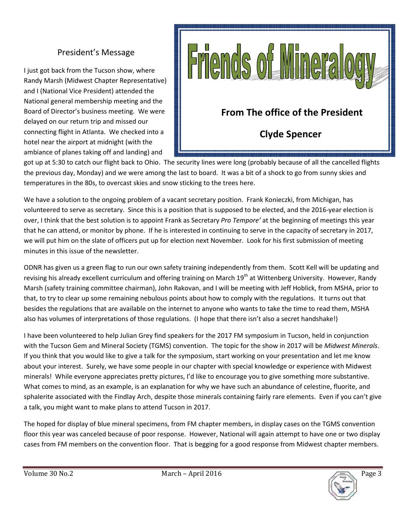#### President's Message

I just got back from the Tucson show, where Randy Marsh (Midwest Chapter Representative) and I (National Vice President) attended the National general membership meeting and the Board of Director's business meeting. We were delayed on our return trip and missed our connecting flight in Atlanta. We checked into a hotel near the airport at midnight (with the ambiance of planes taking off and landing) and



got up at 5:30 to catch our flight back to Ohio. The security lines were long (probably because of all the cancelled flights the previous day, Monday) and we were among the last to board. It was a bit of a shock to go from sunny skies and temperatures in the 80s, to overcast skies and snow sticking to the trees here.

We have a solution to the ongoing problem of a vacant secretary position. Frank Konieczki, from Michigan, has volunteered to serve as secretary. Since this is a position that is supposed to be elected, and the 2016-year election is over, I think that the best solution is to appoint Frank as Secretary *Pro Tempore'* at the beginning of meetings this year that he can attend, or monitor by phone. If he is interested in continuing to serve in the capacity of secretary in 2017, we will put him on the slate of officers put up for election next November. Look for his first submission of meeting minutes in this issue of the newsletter.

ODNR has given us a green flag to run our own safety training independently from them. Scott Kell will be updating and revising his already excellent curriculum and offering training on March 19<sup>th</sup> at Wittenberg University. However, Randy Marsh (safety training committee chairman), John Rakovan, and I will be meeting with Jeff Hoblick, from MSHA, prior to that, to try to clear up some remaining nebulous points about how to comply with the regulations. It turns out that besides the regulations that are available on the internet to anyone who wants to take the time to read them, MSHA also has volumes of interpretations of those regulations. (I hope that there isn't also a secret handshake!)

I have been volunteered to help Julian Grey find speakers for the 2017 FM symposium in Tucson, held in conjunction with the Tucson Gem and Mineral Society (TGMS) convention. The topic for the show in 2017 will be *Midwest Minerals*. If you think that you would like to give a talk for the symposium, start working on your presentation and let me know about your interest. Surely, we have some people in our chapter with special knowledge or experience with Midwest minerals! While everyone appreciates pretty pictures, I'd like to encourage you to give something more substantive. What comes to mind, as an example, is an explanation for why we have such an abundance of celestine, fluorite, and sphalerite associated with the Findlay Arch, despite those minerals containing fairly rare elements. Even if you can't give a talk, you might want to make plans to attend Tucson in 2017.

The hoped for display of blue mineral specimens, from FM chapter members, in display cases on the TGMS convention floor this year was canceled because of poor response. However, National will again attempt to have one or two display cases from FM members on the convention floor. That is begging for a good response from Midwest chapter members.

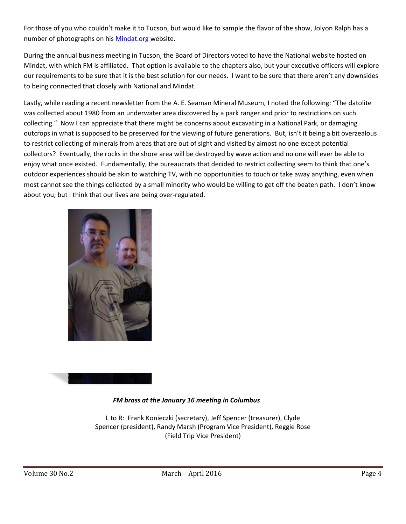For those of you who couldn't make it to Tucson, but would like to sample the flavor of the show, Jolyon Ralph has a number of photographs on his Mindat.org website.

During the annual business meeting in Tucson, the Board of Directors voted to have the National website hosted on For those of you who couldn't make it to Tucson, but would like to sample the flavor of the show, Jolyon Ralph has a<br>number of photographs on his <u>Mindat.org</u> website.<br>During the annual business meeting in Tucson, the Boar our requirements to be sure that it is the best solution for our needs. I want to be sure that there aren't any downsides to being connected that closely with National and Mindat.

Lastly, while reading a recent newsletter from the A. E. Seaman Mineral Museum, I noted the following: "The datolite was collected about 1980 from an underwater area discovered by a park ranger and prior to restrictions on such collecting." Now I can appreciate that there might be concerns about excavating in a National Park, or damaging outcrops in what is supposed to be preserved for the viewing of future generations. But, isn't it being a bit overzealous to restrict collecting of minerals from areas that are out of sight and visited by almost no one except potential collectors? Eventually, the rocks in the shore area will be destroyed by wave action and no one will ever be able to collectors? Eventually, the rocks in the shore area will be destroyed by wave action and no one will ever be able to<br>enjoy what once existed. Fundamentally, the bureaucrats that decided to restrict collecting seem to think outdoor experiences should be akin to watching TV, with no opportunities to touch or take away anything, even when most cannot see the things collected by a small minority who would be willing to get off the bea about you, but I think that our lives are being over-regulated. is solution for our needs. I want to be sure that there aren't any dual of being connected that closely with National and Mindat.<br>Astly, while reading a recent newsletter from the A. E. Seaman Mineral Museum, I noted the f should be akin to watching TV, with no opportunities to touch or take away anything, even<br>things collected by a small minority who would be willing to get off the beaten path. I don't<br>x that our lives are being over-regula t are out of sight and visited by almost no one except potential<br>rea will be destroyed by wave action and no one will ever be able to<br>ureaucrats that decided to restrict collecting seem to think that one's<br>g TV, with no op





#### *FM brass at the January 16 meeting in Columbus*

L to R: Frank Konieczki Konieczki (secretary), Jeff Spencer (treasurer), Clyde Spencer (president), Randy Marsh (Program Vice President), Reggie Rose (Field Trip Vice President)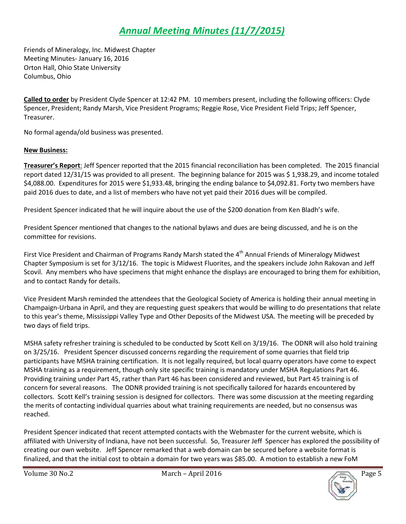### *Annual Meeting Minutes (11/7/2015)*

Friends of Mineralogy, Inc. Midwest Chapter Meeting Minutes- January 16, 2016 Orton Hall, Ohio State University Columbus, Ohio

**Called to order** by President Clyde Spencer at 12:42 PM. 10 members present, including the following officers: Clyde Spencer, President; Randy Marsh, Vice President Programs; Reggie Rose, Vice President Field Trips; Jeff Spencer, Treasurer.

No formal agenda/old business was presented.

#### **New Business:**

**Treasurer's Report**: Jeff Spencer reported that the 2015 financial reconciliation has been completed. The 2015 financial report dated 12/31/15 was provided to all present. The beginning balance for 2015 was \$ 1,938.29, and income totaled \$4,088.00. Expenditures for 2015 were \$1,933.48, bringing the ending balance to \$4,092.81. Forty two members have paid 2016 dues to date, and a list of members who have not yet paid their 2016 dues will be compiled.

President Spencer indicated that he will inquire about the use of the \$200 donation from Ken Bladh's wife.

President Spencer mentioned that changes to the national bylaws and dues are being discussed, and he is on the committee for revisions.

First Vice President and Chairman of Programs Randy Marsh stated the 4<sup>th</sup> Annual Friends of Mineralogy Midwest Chapter Symposium is set for 3/12/16. The topic is Midwest Fluorites, and the speakers include John Rakovan and Jeff Scovil. Any members who have specimens that might enhance the displays are encouraged to bring them for exhibition, and to contact Randy for details.

Vice President Marsh reminded the attendees that the Geological Society of America is holding their annual meeting in Champaign-Urbana in April, and they are requesting guest speakers that would be willing to do presentations that relate to this year's theme, Mississippi Valley Type and Other Deposits of the Midwest USA. The meeting will be preceded by two days of field trips.

MSHA safety refresher training is scheduled to be conducted by Scott Kell on 3/19/16. The ODNR will also hold training on 3/25/16. President Spencer discussed concerns regarding the requirement of some quarries that field trip participants have MSHA training certification. It is not legally required, but local quarry operators have come to expect MSHA training as a requirement, though only site specific training is mandatory under MSHA Regulations Part 46. Providing training under Part 45, rather than Part 46 has been considered and reviewed, but Part 45 training is of concern for several reasons. The ODNR provided training is not specifically tailored for hazards encountered by collectors. Scott Kell's training session is designed for collectors. There was some discussion at the meeting regarding the merits of contacting individual quarries about what training requirements are needed, but no consensus was reached.

President Spencer indicated that recent attempted contacts with the Webmaster for the current website, which is affiliated with University of Indiana, have not been successful. So, Treasurer Jeff Spencer has explored the possibility of creating our own website. Jeff Spencer remarked that a web domain can be secured before a website format is finalized, and that the initial cost to obtain a domain for two years was \$85.00. A motion to establish a new FoM

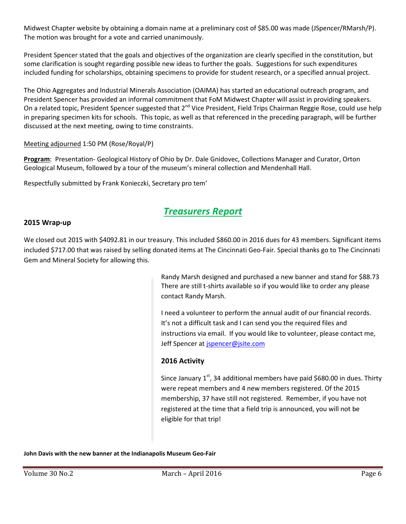The motion was brought for a vote and carried unanimously.

Midwest Chapter website by obtaining a domain name at a preliminary cost of \$85.00 was made (JSpencer/RMarsh/P).<br>The motion was brought for a vote and carried unanimously.<br>President Spencer stated that the goals and object President Spencer stated that the goals and objectives of the organization are clearly specified in the constitution, but some clarification is sought regarding possible new ideas to further the goals. Suggestions for such expenditures included funding for scholarships, obtaining specimens to provide for student research, or a specified annual project.

included funding for scholarships, obtaining specimens to provide for student research, or a specified annual project.<br>The Ohio Aggregates and Industrial Minerals Association (OAIMA) has started an educational outreach pro President Spencer has provided an informal commitment that FoM Midwest Chapter will assist in providing speakers. President Spencer has provided an informal commitment that FoM Midwest Chapter will assist in providing speakers.<br>On a related topic, President Spencer suggested that 2<sup>nd</sup> Vice President, Field Trips Chairman Reggie Rose, in preparing specimen kits for schools. This topic, as well as that referenced in the preceding paragraph, will be further discussed at the next meeting, owing to time constraints.<br><u>Meeting adjourned</u> 1:50 PM (Rose/Royal/P) to further the goals. Suggestions for such expenditures<br>o provide for student research, or a specified annual project.<br>(OAIMA) has started an educational outreach program, and<br>t that FoM Midwest Chapter will assist in prov

#### Meeting adjourned 1:50 PM (Rose/Royal/P)

Program: Presentation- Geological History of Ohio by Dr. Dale Gnidovec, Collections Manager and Curator, Orton<br>Geological Museum, followed by a tour of the museum's mineral collection and Mendenhall Hall. Geological Museum, followed by a tour of the museum's mineral collection and Mendenhall Hall.

Respectfully submitted by Frank Konieczki, Secretary pro tem'

#### *Treasurers Report*

#### **2015 Wrap-up**

We closed out 2015 with \$4092.81 in our treasury. This included \$860.00 in 2016 dues for 43 members. Significant items included \$717.00 that was raised by selling donated items at The Cincinnati Geo-Fair. Special thanks go to The Cincinnati Gem and Mineral Society for allowing this.

> Randy Marsh designed and purchased a new banner and stand for \$88.73 There are still t-shirts available so if you would like to order any please contact Randy Marsh.

I need a volunteer to perform the annual audit of our financial records. It's not a difficult task and I can send you the required files and instructions via email. If you would like to volunteer, please contact me, Jeff Spencer at *ispencer@jsite.com* tems at The Cincinnati Geo-Fair. Special thanks go to The Cincinnati<br>Marsh designed and purchased a new banner and stand for \$88.73<br>are still t-shirts available so if you would like to order any please<br>t Randy Marsh.<br>a vol

#### **2016 Activity**

Since January  $1^{st}$ , 34 additional members have paid \$680.00 in dues. Thirty were repeat members and 4 new members registered. Of the 2015<br>membership, 37 have still not registered. Remember, if you have not membership, 37 have still not registered. Remember, if y registered at the time that a field trip is announced, you will not be eligible for that trip!

**John Davis with the new banner at the Indianapolis Museum Geo-Fair**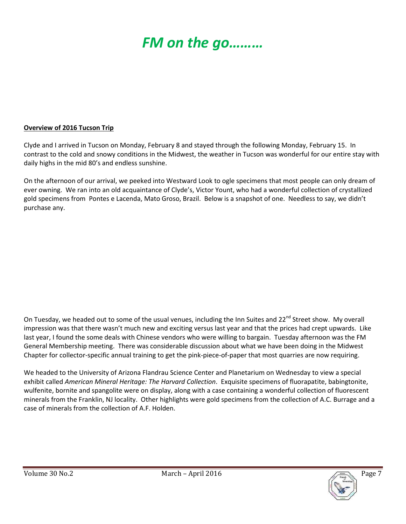## *FM on the go………*

# Field Trip Reports

#### **Overview of 2016 Tucson Trip**

Clyde and I arrived in Tucson on Monday, February 8 and stayed through the following Monday, February 15. In contrast to the cold and snowy conditions in the Midwest, the weather in Tucson was wonderful for our entire stay with daily highs in the mid 80's and endless sunshine.

On the afternoon of our arrival, we peeked into Westward Look to ogle specimens that most people can only dream of ever owning. We ran into an old acquaintance of Clyde's, Victor Yount, who had a wonderful collection of crystallized gold specimens from Pontes e Lacenda, Mato Groso, Brazil. Below is a snapshot of one. Needless to say, we didn't purchase any.

On Tuesday, we headed out to some of the usual venues, including the Inn Suites and 22<sup>nd</sup> Street show. My overall impression was that there wasn't much new and exciting versus last year and that the prices had crept upwards. Like last year, I found the some deals with Chinese vendors who were willing to bargain. Tuesday afternoon was the FM General Membership meeting. There was considerable discussion about what we have been doing in the Midwest Chapter for collector-specific annual training to get the pink-piece-of-paper that most quarries are now requiring.

We headed to the University of Arizona Flandrau Science Center and Planetarium on Wednesday to view a special exhibit called *American Mineral Heritage: The Harvard Collection*. Exquisite specimens of fluorapatite, babingtonite, wulfenite, bornite and spangolite were on display, along with a case containing a wonderful collection of fluorescent minerals from the Franklin, NJ locality. Other highlights were gold specimens from the collection of A.C. Burrage and a case of minerals from the collection of A.F. Holden.

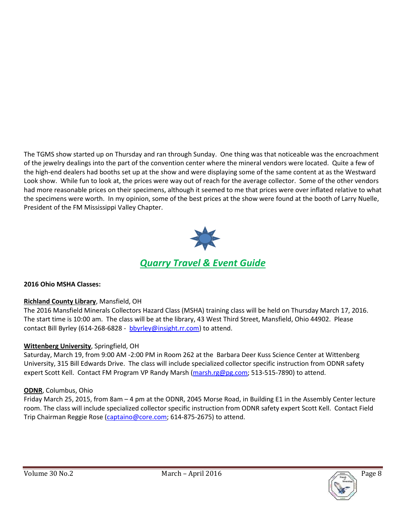The TGMS show started up on Thursday and ran through Sunday. One thing was that noticeable was the encroachment of the jewelry dealings into the part of the convention center where the mineral vendors were located. Quite a few of the high-end dealers had booths set up at the show and were displaying some of the same content at as the Westward Look show. While fun to look at, the prices were way out of reach for the average collector. Some of the other vendors had more reasonable prices on their specimens, although it seemed to me that prices were over inflated relative to what the specimens were worth. In my opinion, some of the best prices at the show were found at the booth of Larry Nuelle, President of the FM Mississippi Valley Chapter.



#### **2016 Ohio MSHA Classes:**

#### **Richland County Library**, Mansfield, OH

The 2016 Mansfield Minerals Collectors Hazard Class (MSHA) training class will be held on Thursday March 17, 2016. The start time is 10:00 am. The class will be at the library, 43 West Third Street, Mansfield, Ohio 44902. Please contact Bill Byrley (614-268-6828 - bbyrley@insight.rr.com) to attend.

#### **Wittenberg University**, Springfield, OH

Saturday, March 19, from 9:00 AM -2:00 PM in Room 262 at the Barbara Deer Kuss Science Center at Wittenberg University, 315 Bill Edwards Drive. The class will include specialized collector specific instruction from ODNR safety expert Scott Kell. Contact FM Program VP Randy Marsh (marsh.rg@pg.com; 513-515-7890) to attend.

#### **ODNR**, Columbus, Ohio

Friday March 25, 2015, from 8am – 4 pm at the ODNR, 2045 Morse Road, in Building E1 in the Assembly Center lecture room. The class will include specialized collector specific instruction from ODNR safety expert Scott Kell. Contact Field Trip Chairman Reggie Rose (captaino@core.com; 614-875-2675) to attend.

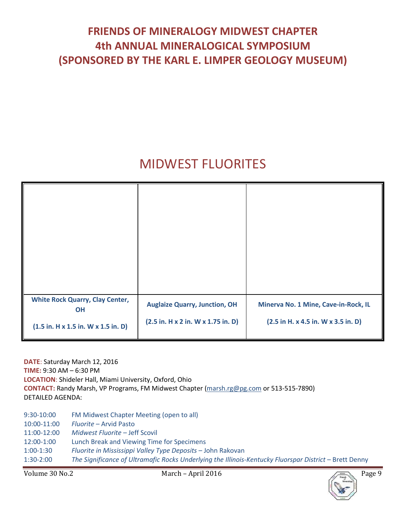### **FRIENDS OF MINERALOGY MIDWEST CHAPTER 4th ANNUAL MINERALOGICAL SYMPOSIUM (SPONSORED BY THE KARL E. LIMPER GEOLOGY MUSEUM)**

## MIDWEST FLUORITES

| <b>White Rock Quarry, Clay Center,</b><br>OH<br>$(1.5 \text{ in. H x } 1.5 \text{ in. W x } 1.5 \text{ in. D})$ | <b>Auglaize Quarry, Junction, OH</b><br>(2.5 in. H x 2 in. W x 1.75 in. D) | Minerva No. 1 Mine, Cave-in-Rock, IL<br>$(2.5 \text{ in H. x } 4.5 \text{ in. W x } 3.5 \text{ in. D})$ |
|-----------------------------------------------------------------------------------------------------------------|----------------------------------------------------------------------------|---------------------------------------------------------------------------------------------------------|

**DATE**: Saturday March 12, 2016 **TIME:** 9:30 AM – 6:30 PM **LOCATION**: Shideler Hall, Miami University, Oxford, Ohio **CONTACT:** Randy Marsh, VP Programs, FM Midwest Chapter (marsh.rg@pg.com or 513-515-7890) DETAILED AGENDA:

9:30-10:00 FM Midwest Chapter Meeting (open to all) 10:00-11:00 *Fluorite* – Arvid Pasto 11:00-12:00 *Midwest Fluorite* – Jeff Scovil 12:00-1:00 Lunch Break and Viewing Time for Specimens 1:00-1:30 *Fluorite in Mississippi Valley Type Deposits* – John Rakovan 1:30-2:00 The Significance of Ultramafic Rocks Underlying the Illinois-Kentucky Fluorspar District - Brett Denny

Volume 30 No.2 March – April 2016 Page 9

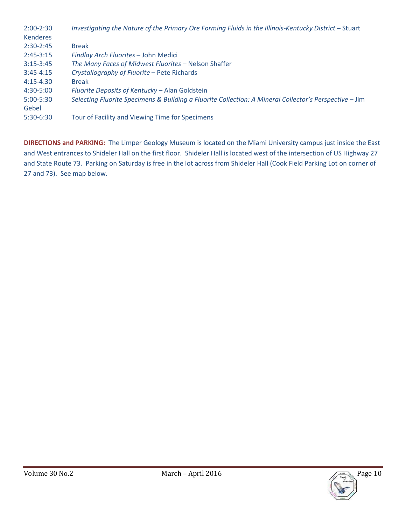| $2:00-2:30$     | Investigating the Nature of the Primary Ore Forming Fluids in the Illinois-Kentucky District - Stuart  |
|-----------------|--------------------------------------------------------------------------------------------------------|
| <b>Kenderes</b> |                                                                                                        |
| $2:30-2:45$     | <b>Break</b>                                                                                           |
| $2:45-3:15$     | Findlay Arch Fluorites - John Medici                                                                   |
| $3:15-3:45$     | The Many Faces of Midwest Fluorites - Nelson Shaffer                                                   |
| $3:45 - 4:15$   | Crystallography of Fluorite - Pete Richards                                                            |
| $4:15 - 4:30$   | <b>Break</b>                                                                                           |
| 4:30-5:00       | Fluorite Deposits of Kentucky - Alan Goldstein                                                         |
| $5:00 - 5:30$   | Selecting Fluorite Specimens & Building a Fluorite Collection: A Mineral Collector's Perspective - Jim |
| Gebel           |                                                                                                        |
| $5:30-6:30$     | Tour of Facility and Viewing Time for Specimens                                                        |

**DIRECTIONS and PARKING:** The Limper Geology Museum is located on the Miami University campus just inside the East and West entrances to Shideler Hall on the first floor. Shideler Hall is located west of the intersection of US Highway 27 and State Route 73. Parking on Saturday is free in the lot across from Shideler Hall (Cook Field Parking Lot on corner of 27 and 73). See map below.

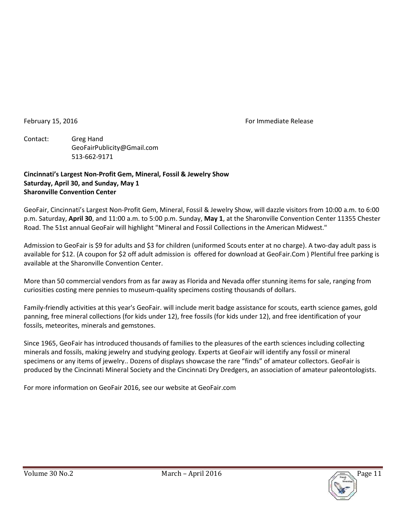February 15, 2016 **For Immediate Release** 

Contact: Greg Hand GeoFairPublicity@Gmail.com 513-662-9171

#### **Cincinnati's Largest Non-Profit Gem, Mineral, Fossil & Jewelry Show Saturday, April 30, and Sunday, May 1 Sharonville Convention Center**

GeoFair, Cincinnati's Largest Non-Profit Gem, Mineral, Fossil & Jewelry Show, will dazzle visitors from 10:00 a.m. to 6:00 p.m. Saturday, **April 30**, and 11:00 a.m. to 5:00 p.m. Sunday, **May 1**, at the Sharonville Convention Center 11355 Chester Road. The 51st annual GeoFair will highlight "Mineral and Fossil Collections in the American Midwest."

Admission to GeoFair is \$9 for adults and \$3 for children (uniformed Scouts enter at no charge). A two-day adult pass is available for \$12. (A coupon for \$2 off adult admission is offered for download at GeoFair.Com ) Plentiful free parking is available at the Sharonville Convention Center.

More than 50 commercial vendors from as far away as Florida and Nevada offer stunning items for sale, ranging from curiosities costing mere pennies to museum-quality specimens costing thousands of dollars.

Family-friendly activities at this year's GeoFair. will include merit badge assistance for scouts, earth science games, gold panning, free mineral collections (for kids under 12), free fossils (for kids under 12), and free identification of your fossils, meteorites, minerals and gemstones.

Since 1965, GeoFair has introduced thousands of families to the pleasures of the earth sciences including collecting minerals and fossils, making jewelry and studying geology. Experts at GeoFair will identify any fossil or mineral specimens or any items of jewelry.. Dozens of displays showcase the rare "finds" of amateur collectors. GeoFair is produced by the Cincinnati Mineral Society and the Cincinnati Dry Dredgers, an association of amateur paleontologists.

For more information on GeoFair 2016, see our website at GeoFair.com